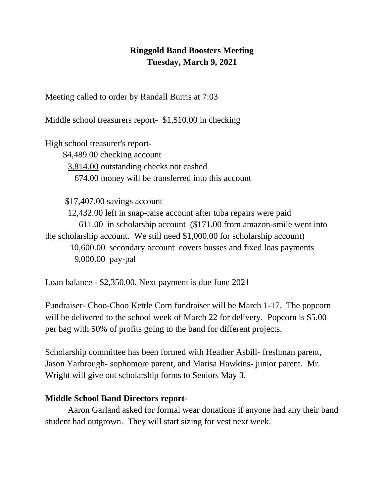## **Ringgold Band Boosters Meeting Tuesday, March 9, 2021**

Meeting called to order by Randall Burris at 7:03

Middle school treasurers report- \$1,510.00 in checking

High school treasurer's report-

 \$4,489.00 checking account 3,814.00 outstanding checks not cashed 674.00 money will be transferred into this account

\$17,407.00 savings account

12,432.00 left in snap-raise account after tuba repairs were paid 611.00 in scholarship account (\$171.00 from amazon-smile went into the scholarship account. We still need \$1,000.00 for scholarship account) 10,600.00 secondary account covers busses and fixed loas payments

9,000.00 pay-pal

Loan balance - \$2,350.00. Next payment is due June 2021

Fundraiser- Choo-Choo Kettle Corn fundraiser will be March 1-17. The popcorn will be delivered to the school week of March 22 for delivery. Popcorn is \$5.00 per bag with 50% of profits going to the band for different projects.

Scholarship committee has been formed with Heather Asbill- freshman parent, Jason Yarbrough- sophomore parent, and Marisa Hawkins- junior parent. Mr. Wright will give out scholarship forms to Seniors May 3.

## **Middle School Band Directors report-**

Aaron Garland asked for formal wear donations if anyone had any their band student had outgrown. They will start sizing for vest next week.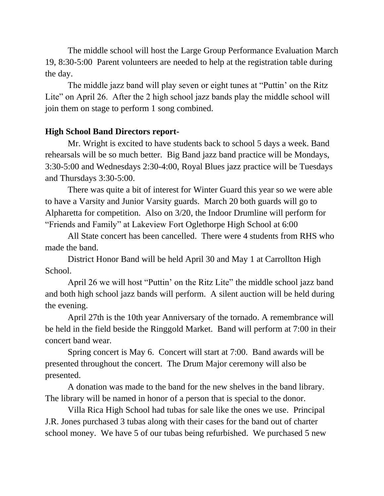The middle school will host the Large Group Performance Evaluation March 19, 8:30-5:00 Parent volunteers are needed to help at the registration table during the day.

The middle jazz band will play seven or eight tunes at "Puttin' on the Ritz Lite" on April 26. After the 2 high school jazz bands play the middle school will join them on stage to perform 1 song combined.

## **High School Band Directors report-**

Mr. Wright is excited to have students back to school 5 days a week. Band rehearsals will be so much better. Big Band jazz band practice will be Mondays, 3:30-5:00 and Wednesdays 2:30-4:00, Royal Blues jazz practice will be Tuesdays and Thursdays 3:30-5:00.

There was quite a bit of interest for Winter Guard this year so we were able to have a Varsity and Junior Varsity guards. March 20 both guards will go to Alpharetta for competition. Also on 3/20, the Indoor Drumline will perform for "Friends and Family" at Lakeview Fort Oglethorpe High School at 6:00

All State concert has been cancelled. There were 4 students from RHS who made the band.

District Honor Band will be held April 30 and May 1 at Carrollton High School.

April 26 we will host "Puttin' on the Ritz Lite" the middle school jazz band and both high school jazz bands will perform. A silent auction will be held during the evening.

April 27th is the 10th year Anniversary of the tornado. A remembrance will be held in the field beside the Ringgold Market. Band will perform at 7:00 in their concert band wear.

Spring concert is May 6. Concert will start at 7:00. Band awards will be presented throughout the concert. The Drum Major ceremony will also be presented.

A donation was made to the band for the new shelves in the band library. The library will be named in honor of a person that is special to the donor.

Villa Rica High School had tubas for sale like the ones we use. Principal J.R. Jones purchased 3 tubas along with their cases for the band out of charter school money. We have 5 of our tubas being refurbished. We purchased 5 new